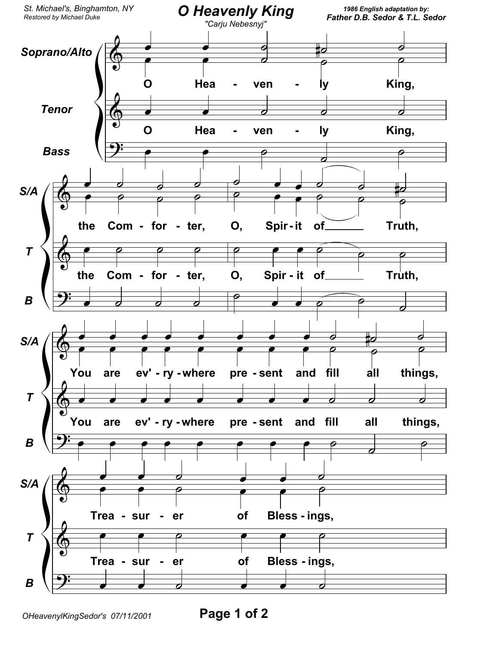